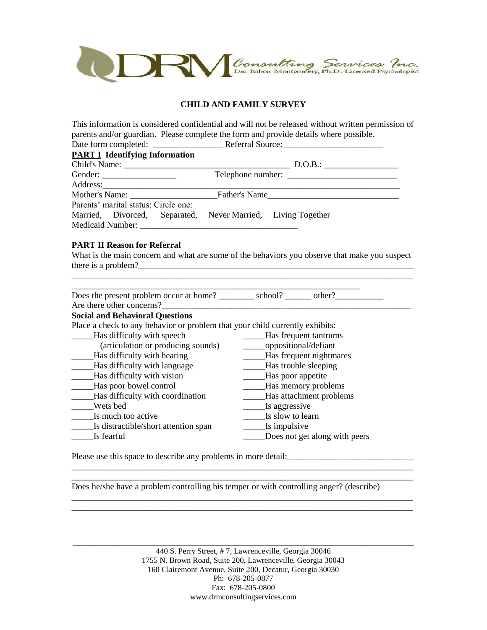

## **CHILD AND FAMILY SURVEY**

This information is considered confidential and will not be released without written permission of parents and/or guardian. Please complete the form and provide details where possible.

| <b>PART I Identifying Information</b> |                                                              |
|---------------------------------------|--------------------------------------------------------------|
|                                       |                                                              |
|                                       |                                                              |
|                                       |                                                              |
|                                       | Mother's Name: Father's Name                                 |
| Parents' marital status: Circle one:  |                                                              |
|                                       | Married, Divorced, Separated, Never Married, Living Together |
|                                       |                                                              |

#### **PART II Reason for Referral**

What is the main concern and what are some of the behaviors you observe that make you suspect there is a problem? \_\_\_\_\_\_\_\_\_\_\_\_\_\_\_\_\_\_\_\_\_\_\_\_\_\_\_\_\_\_\_\_\_\_\_\_\_\_\_\_\_\_\_\_\_\_\_\_\_\_\_\_\_\_\_\_\_\_\_\_\_\_\_\_\_\_\_\_\_\_\_\_\_\_\_\_\_\_

| Does the present problem occur at home? _________ school? _______ other?     |                               |
|------------------------------------------------------------------------------|-------------------------------|
| Are there other concerns?                                                    |                               |
| <b>Social and Behavioral Questions</b>                                       |                               |
| Place a check to any behavior or problem that your child currently exhibits: |                               |
| Has difficulty with speech                                                   | Has frequent tantrums         |
| (articulation or producing sounds)                                           | oppositional/defiant          |
| Has difficulty with hearing                                                  | Has frequent nightmares       |
| Has difficulty with language                                                 | Has trouble sleeping          |
| Has difficulty with vision                                                   | _Has poor appetite            |
| Has poor bowel control                                                       | Has memory problems           |
| Has difficulty with coordination                                             | Has attachment problems       |
| Wets bed                                                                     | Is aggressive                 |
| Is much too active                                                           | Is slow to learn              |
| Is distractible/short attention span                                         | Is impulsive                  |
| Is fearful                                                                   | Does not get along with peers |

Please use this space to describe any problems in more detail:\_\_\_\_\_\_\_\_\_\_\_\_\_\_\_\_\_\_\_\_\_\_\_\_\_\_\_\_\_

Does he/she have a problem controlling his temper or with controlling anger? (describe)

\_\_\_\_\_\_\_\_\_\_\_\_\_\_\_\_\_\_\_\_\_\_\_\_\_\_\_\_\_\_\_\_\_\_\_\_\_\_\_\_\_\_\_\_\_\_\_\_\_\_\_\_\_\_\_\_\_\_\_\_\_\_\_\_\_\_\_\_\_\_\_\_\_\_\_\_\_\_

\_\_\_\_\_\_\_\_\_\_\_\_\_\_\_\_\_\_\_\_\_\_\_\_\_\_\_\_\_\_\_\_\_\_\_\_\_\_\_\_\_\_\_\_\_\_\_\_\_\_\_\_\_\_\_\_\_\_\_\_\_\_\_\_\_\_\_\_\_\_\_\_\_\_\_\_\_\_ \_\_\_\_\_\_\_\_\_\_\_\_\_\_\_\_\_\_\_\_\_\_\_\_\_\_\_\_\_\_\_\_\_\_\_\_\_\_\_\_\_\_\_\_\_\_\_\_\_\_\_\_\_\_\_\_\_\_\_\_\_\_\_\_\_\_\_\_\_\_\_\_\_\_\_\_\_\_

\_\_\_\_\_\_\_\_\_\_\_\_\_\_\_\_\_\_\_\_\_\_\_\_\_\_\_\_\_\_\_\_\_\_\_\_\_\_\_\_\_\_\_\_\_\_\_\_\_\_\_\_\_\_\_\_\_\_\_\_\_\_\_\_\_\_\_\_\_\_\_\_\_\_\_\_\_\_ \_\_\_\_\_\_\_\_\_\_\_\_\_\_\_\_\_\_\_\_\_\_\_\_\_\_\_\_\_\_\_\_\_\_\_\_\_\_\_\_\_\_\_\_\_\_\_\_\_\_\_\_\_\_\_\_\_\_\_\_\_\_\_\_\_\_\_\_\_\_\_\_\_\_\_\_\_\_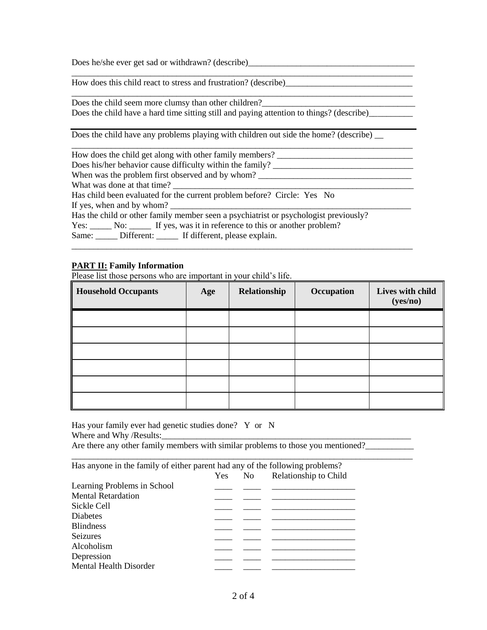Does he/she ever get sad or withdrawn? (describe)

How does this child react to stress and frustration? (describe)\_\_\_\_\_\_\_\_\_\_\_\_\_\_\_\_\_\_\_\_\_\_\_\_\_\_\_\_\_

\_\_\_\_\_\_\_\_\_\_\_\_\_\_\_\_\_\_\_\_\_\_\_\_\_\_\_\_\_\_\_\_\_\_\_\_\_\_\_\_\_\_\_\_\_\_\_\_\_\_\_\_\_\_\_\_\_\_\_\_\_\_\_\_\_\_\_\_\_\_\_\_\_\_\_\_\_\_ Does the child seem more clumsy than other children? Does the child have a hard time sitting still and paying attention to things? (describe)\_\_\_\_\_\_\_\_\_\_\_

\_\_\_\_\_\_\_\_\_\_\_\_\_\_\_\_\_\_\_\_\_\_\_\_\_\_\_\_\_\_\_\_\_\_\_\_\_\_\_\_\_\_\_\_\_\_\_\_\_\_\_\_\_\_\_\_\_\_\_\_\_\_\_\_\_\_\_\_\_\_\_\_\_\_\_\_\_\_

Does the child have any problems playing with children out side the home? (describe)  $\overline{\phantom{a}}$ 

| How does the child get along with other family members?                                                                                                                                                                                                                                                                                                                                                                        |
|--------------------------------------------------------------------------------------------------------------------------------------------------------------------------------------------------------------------------------------------------------------------------------------------------------------------------------------------------------------------------------------------------------------------------------|
| Does his/her behavior cause difficulty within the family?                                                                                                                                                                                                                                                                                                                                                                      |
| When was the problem first observed and by whom?                                                                                                                                                                                                                                                                                                                                                                               |
| What was done at that time?                                                                                                                                                                                                                                                                                                                                                                                                    |
| Has child been evaluated for the current problem before? Circle: Yes No                                                                                                                                                                                                                                                                                                                                                        |
| If yes, when and by whom? $\frac{1}{\frac{1}{2} \cdot \frac{1}{2} \cdot \frac{1}{2} \cdot \frac{1}{2} \cdot \frac{1}{2} \cdot \frac{1}{2} \cdot \frac{1}{2} \cdot \frac{1}{2} \cdot \frac{1}{2} \cdot \frac{1}{2} \cdot \frac{1}{2} \cdot \frac{1}{2} \cdot \frac{1}{2} \cdot \frac{1}{2} \cdot \frac{1}{2} \cdot \frac{1}{2} \cdot \frac{1}{2} \cdot \frac{1}{2} \cdot \frac{1}{2} \cdot \frac{1}{2} \cdot \frac{1}{2} \cdot$ |
| Has the child or other family member seen a psychiatrist or psychologist previously?                                                                                                                                                                                                                                                                                                                                           |
| Yes: No: No: If yes, was it in reference to this or another problem?                                                                                                                                                                                                                                                                                                                                                           |
| Same: Different: If different, please explain.                                                                                                                                                                                                                                                                                                                                                                                 |

\_\_\_\_\_\_\_\_\_\_\_\_\_\_\_\_\_\_\_\_\_\_\_\_\_\_\_\_\_\_\_\_\_\_\_\_\_\_\_\_\_\_\_\_\_\_\_\_\_\_\_\_\_\_\_\_\_\_\_\_\_\_\_\_\_\_\_\_\_\_\_\_\_\_\_\_\_\_

#### **PART II: Family Information**

Please list those persons who are important in your child's life.

| <b>Household Occupants</b> | Age | Relationship | Occupation | Lives with child<br>(yes/no) |
|----------------------------|-----|--------------|------------|------------------------------|
|                            |     |              |            |                              |
|                            |     |              |            |                              |
|                            |     |              |            |                              |
|                            |     |              |            |                              |
|                            |     |              |            |                              |
|                            |     |              |            |                              |

Has your family ever had genetic studies done? Y or N Where and Why /Results:

Are there any other family members with similar problems to those you mentioned? \_\_\_\_\_\_\_\_\_\_\_\_\_\_\_\_\_\_\_\_\_\_\_\_\_\_\_\_\_\_\_\_\_\_\_\_\_\_\_\_\_\_\_\_\_\_\_\_\_\_\_\_\_\_\_\_\_\_\_\_\_\_\_\_\_\_\_\_\_\_\_\_\_\_\_\_\_\_

Has anyone in the family of either parent had any of the following problems?

|                               | Yes | No. | Relationship to Child |
|-------------------------------|-----|-----|-----------------------|
| Learning Problems in School   |     |     |                       |
| <b>Mental Retardation</b>     |     |     |                       |
| Sickle Cell                   |     |     |                       |
| <b>Diabetes</b>               |     |     |                       |
| <b>Blindness</b>              |     |     |                       |
| <b>Seizures</b>               |     |     |                       |
| Alcoholism                    |     |     |                       |
| Depression                    |     |     |                       |
| <b>Mental Health Disorder</b> |     |     |                       |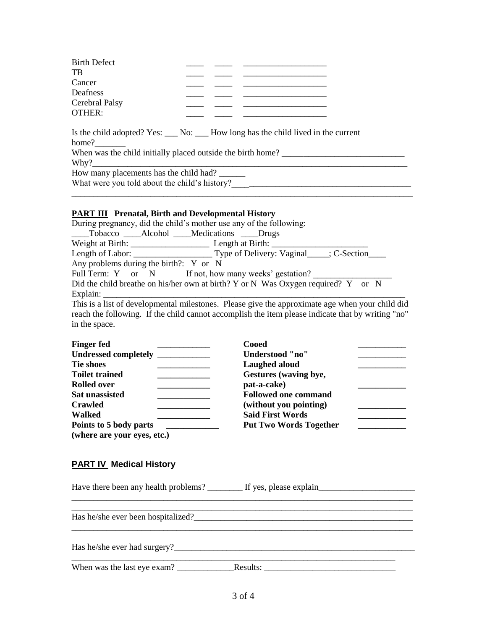| <b>Birth Defect</b><br>TB |  |                                                                                      |
|---------------------------|--|--------------------------------------------------------------------------------------|
| Cancer                    |  |                                                                                      |
| Deafness                  |  |                                                                                      |
| Cerebral Palsy<br>OTHER:  |  |                                                                                      |
|                           |  |                                                                                      |
|                           |  | Is the child adopted? Yes: ____ No: ____ How long has the child lived in the current |

home? When was the child initially placed outside the birth home? \_\_\_\_\_\_\_\_\_\_\_\_\_\_\_\_\_\_\_\_\_\_\_\_\_\_\_\_  $Why?$ How many placements has the child had? \_\_\_\_\_\_ What were you told about the child's history?\_\_\_\_\_\_\_\_\_\_\_\_\_\_\_\_\_\_\_\_\_\_\_\_\_\_\_\_\_\_\_\_\_\_\_\_\_\_\_\_\_

#### **PART III Prenatal, Birth and Developmental History**

| During pregnancy, did the child's mother use any of the following:                                |
|---------------------------------------------------------------------------------------------------|
| Tobacco Alcohol Medications Drugs                                                                 |
|                                                                                                   |
|                                                                                                   |
| Any problems during the birth?: $Y$ or N                                                          |
| Full Term: Y or N If not, how many weeks' gestation?                                              |
| Did the child breathe on his/her own at birth? Y or N Was Oxygen required? Y or N                 |
| Explain: $\_\_$                                                                                   |
| This is a list of developmental milestones. Please give the approximate age when your child did   |
| roach the following. If the child cannot eccomplish the item places indicate that by writing "no" |

reach the following. If the child cannot accomplish the item please indicate that by writing "no" in the space.

| <b>Finger fed</b>           | Cooed                         |
|-----------------------------|-------------------------------|
| <b>Undressed completely</b> | Understood "no"               |
| <b>Tie shoes</b>            | Laughed aloud                 |
| <b>Toilet trained</b>       | Gestures (waving bye,         |
| <b>Rolled over</b>          | pat-a-cake)                   |
| <b>Sat unassisted</b>       | <b>Followed one command</b>   |
| <b>Crawled</b>              | (without you pointing)        |
| <b>Walked</b>               | <b>Said First Words</b>       |
| Points to 5 body parts      | <b>Put Two Words Together</b> |
| (where are your eyes, etc.) |                               |

### **PART IV Medical History**

|                                    | Have there been any health problems? If yes, please explain |
|------------------------------------|-------------------------------------------------------------|
|                                    |                                                             |
| Has he/she ever been hospitalized? |                                                             |
|                                    |                                                             |
| When was the last eye exam?        | Results:                                                    |